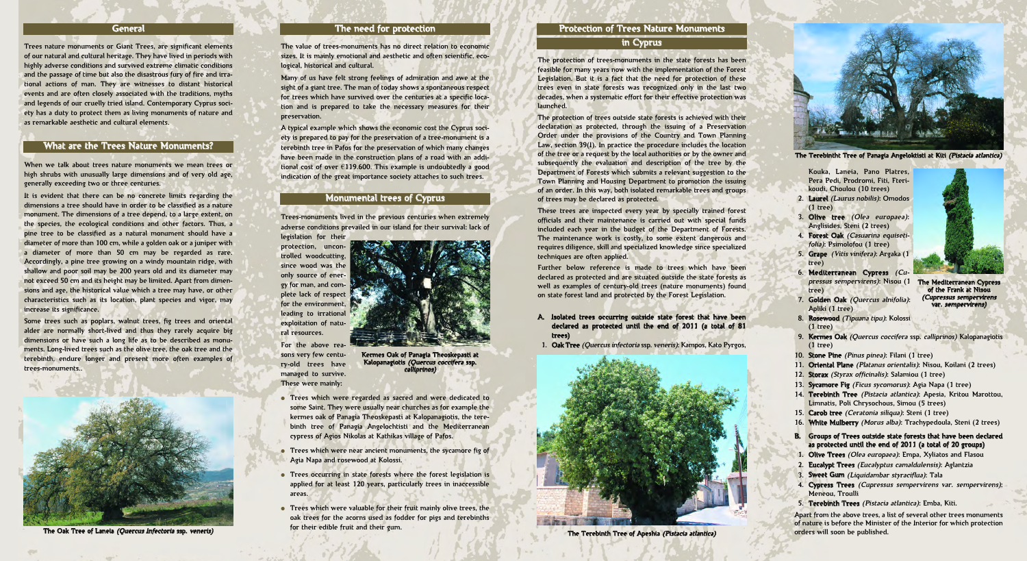#### **General**

Trees nature monuments or Giant Trees, are significant elements of our natural and cultural heritage. They have lived in periods with highly adverse conditions and survived extreme climatic conditions and the passage of time but also the disastrous fury of fire and irrational actions of man. They are witnesses to distant historical events and are often closely associated with the traditions, myths and legends of our cruelly tried island. Contemporary Cyprus society has a duty to protect them as living monuments of nature and as remarkable aesthetic and cultural elements.

When we talk about trees nature monuments we mean trees or high shrubs with unusually large dimensions and of very old age, generally exceeding two or three centuries.

It is evident that there can be no concrete limits regarding the dimensions a tree should have in order to be classified as a nature monument. The dimensions of a tree depend, to a large extent, on the species, the ecological conditions and other factors. Thus, a pine tree to be classified as a natural monument should have a diameter of more than 100 cm, while a golden oak or a juniper with a diameter of more than 50 cm may be regarded as rare. Accordingly, a pine tree growing on a windy mountain ridge, with shallow and poor soil may be 200 years old and its diameter may not exceed 50 cm and its height may be limited. Apart from dimensions and age, the historical value which a tree may have, or other characteristics such as its location, plant species and vigor, may increase its significance.

Some trees such as poplars, walnut trees, fig trees and oriental alder are normally short-lived and thus they rarely acquire big dimensions or have such a long life as to be described as monuments. Long-lived trees such as the olive tree, the oak tree and the terebinth, endure longer and present more often examples of trees-monuments..

The value of trees-monuments has no direct relation to economic sizes. It is mainly emotional and aesthetic and often scientific, ecological, historical and cultural.

Many of us have felt strong feelings of admiration and awe at the sight of a giant tree. The man of today shows a spontaneous respect for trees which have survived over the centuries at a specific location and is prepared to take the necessary measures for their preservation.

A typical example which shows the economic cost the Cyprus society is prepared to pay for the preservation of a tree-monument is a terebinth tree in Pafos for the preservation of which many changes have been made in the construction plans of a road with an additional cost of over  $\epsilon$ 119.600. This example is undoubtedly a good indication of the great importance society attaches to such trees.

Trees-monuments lived in the previous centuries when extremely adverse conditions prevailed in our island for their survival: lack of legislation for their

protection, uncontrolled woodcutting, since wood was the only source of energy for man, and complete lack of respect for the environment, leading to irrational exploitation of natural resources.

For the above reasons very few century-old trees have managed to survive. These were mainly:

- **●** Trees which were regarded as sacred and were dedicated to some Saint. They were usually near churches as for example the kermes oak of Panagia Theoskepasti at Kalopanagiotis, the terebinth tree of Panagia Angelochtisti and the Mediterranean cypress of Agios Nikolas at Kathikas village of Pafos.
- **●** Trees which were near ancient monuments, the sycamore fig of Agia Napa and rosewood at Kolossi.
- **●** Trees occurring in state forests where the forest legislation is applied for at least 120 years, particularly trees in inaccessible areas.
- **●** Trees which were valuable for their fruit mainly olive trees, the oak trees for the acorns used as fodder for pigs and terebinths for their edible fruit and their gum.

The protection of trees-monuments in the state forests has been feasible for many years now with the implementation of the Forest Legislation. But it is a fact that the need for protection of these trees even in state forests was recognized only in the last two decades, when a systematic effort for their effective protection was launched.

The protection of trees outside state forests is achieved with their declaration as protected, through the issuing of a Preservation Order under the provisions of the Country and Town Planning Law, section 39(I). In practice the procedure includes the location of the tree or a request by the local authorities or by the owner and subsequently the evaluation and description of the tree by the Department of Forests which submits a relevant suggestion to the Town Planning and Housing Department to promotion the issuing of an order. In this way, both isolated remarkable trees and groups of trees may be declared as protected.

These trees are inspected every year by specially trained forest officials and their maintenance is carried out with special funds included each year in the budget of the Department of Forests. The maintenance work is costly, to some extent dangerous and requires diligence, skill and specialized knowledge since specialized techniques are often applied.

Further below reference is made to trees which have been declared as protected and are situated outside the state forests as well as examples of century-old trees (nature monuments) found on state forest land and protected by the Forest Legislation.

- A. Isolated trees occurring outside state forest that have been declared as protected until the end of 2011 (a total of 81 trees)
- 1. Oak Tree (Quercus infectoria ssp. veneris): Kampos, Kato Pyrgos,

Kouka, Laneia, Pano Platres, Pera Pedi, Prodromi, Fiti, Fterikoudi, Choulou (10 trees)

- 2. Laurel (Laurus nobilis): Omodos (1 tree)
- 3. Olive tree (Olea europaea): Anglisides, Steni (2 trees)
- 4. Forest Oak (Casuarina equisetifolia): Psimolofou (1 tree)
- 5. Grape (Vitis vinifera): Argaka (1 tree)
- 6. Mediterranean Cypress (Cupressus sempervirens): Nisou (1 tree)
- 7. Golden Oak (Quercus alnifolia): Apliki (1 tree)
- 8. Rosewood (Tipuana tipu): Kolossi (1 tree)

- 9. Kermes Oak (Quercus coccifera ssp. calliprinos) Kalopanagiotis (1 tree)
- 10. Stone Pine (Pinus pinea): Filani (1 tree)
- 11. Oriental Plane (Platanus orientalis): Nisou, Koilani (2 trees)
- 12. Storax (Styrax officinalis): Salamiou (1 tree)
- 13. Sycamore Fig (Ficus sycomorus): Agia Napa (1 tree)
- 14. Terebinth Tree (Pistacia atlantica): Apesia, Kritou Marottou, Limnatis, Poli Chrysochous, Simou (5 trees)
- 15. Carob tree *(Ceratonia siliqua)*: Steni (1 tree)
- 16. White Mulberry (Morus alba): Trachypedoula, Steni (2 trees)
- B. Groups of Trees outside state forests that have been declared as protected until the end of 2011 (a total of 20 groups)
- 1. Olive Trees (Olea europaea): Empa, Xyliatos and Flasou
- 2. Eucalypt Trees (Eucalyptus camaldulensis): Aglantzia
- 3. Sweet Gum (Liquidambar styraciflua): Tala
- 4. Cypress Trees (Cupressus sempervirens var. sempervirens): Meneou, Troulli
- 5. Terebinth Trees (Pistacia atlantica): Emba, Kiti.

Apart from the above trees, a list of several other trees monuments of nature is before the Minister of the Interior for which protection orders will soon be published.

### Monumental trees of Cyprus

### What are the Trees Nature Monuments?

# The need for protection



The Oak Tree of Laneia (Quercus Infectoria ssp. veneris)



Kermes Oak of Panagia Theoskepasti at Kalopanagiotis (Quercus coccifera ssp. calliprinos)

### Protection of Trees Nature Monuments

# in Cyprus



The Terebinth Tree of Apeshia (Pistacia atlantica)



The Terebintht Tree of Panagia Angeloktisti at Kiti (Pistacia atlantica)



The Mediterranean Cypress of the Frank at Nisou (Cupressus sempervirens var. sempervirens)